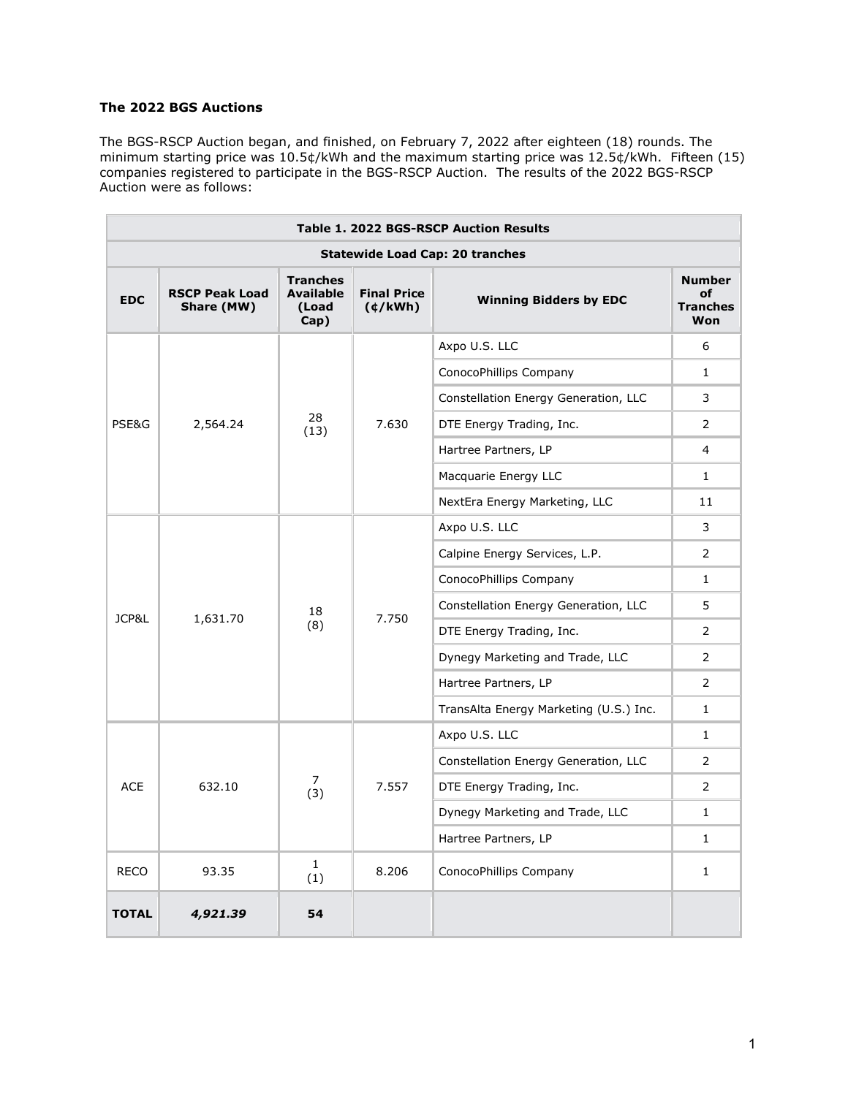## **The 2022 BGS Auctions**

The BGS-RSCP Auction began, and finished, on February 7, 2022 after eighteen (18) rounds. The minimum starting price was 10.5¢/kWh and the maximum starting price was 12.5¢/kWh. Fifteen (15) companies registered to participate in the BGS-RSCP Auction. The results of the 2022 BGS-RSCP Auction were as follows:

| <b>Table 1, 2022 BGS-RSCP Auction Results</b> |                                     |                                                      |                                     |                                        |                                                      |  |  |  |  |
|-----------------------------------------------|-------------------------------------|------------------------------------------------------|-------------------------------------|----------------------------------------|------------------------------------------------------|--|--|--|--|
| <b>Statewide Load Cap: 20 tranches</b>        |                                     |                                                      |                                     |                                        |                                                      |  |  |  |  |
| <b>EDC</b>                                    | <b>RSCP Peak Load</b><br>Share (MW) | <b>Tranches</b><br><b>Available</b><br>(Load<br>Cap) | <b>Final Price</b><br>$($ ¢/kWh $)$ | <b>Winning Bidders by EDC</b>          | <b>Number</b><br>of<br><b>Tranches</b><br><b>Won</b> |  |  |  |  |
| PSE&G                                         | 2,564.24                            | 28<br>(13)                                           | 7.630                               | Axpo U.S. LLC                          | 6                                                    |  |  |  |  |
|                                               |                                     |                                                      |                                     | ConocoPhillips Company                 | $\mathbf{1}$                                         |  |  |  |  |
|                                               |                                     |                                                      |                                     | Constellation Energy Generation, LLC   | 3                                                    |  |  |  |  |
|                                               |                                     |                                                      |                                     | DTE Energy Trading, Inc.               | $\overline{2}$                                       |  |  |  |  |
|                                               |                                     |                                                      |                                     | Hartree Partners, LP                   | $\overline{4}$                                       |  |  |  |  |
|                                               |                                     |                                                      |                                     | Macquarie Energy LLC                   | $\mathbf{1}$                                         |  |  |  |  |
|                                               |                                     |                                                      |                                     | NextEra Energy Marketing, LLC          | 11                                                   |  |  |  |  |
|                                               | 1,631.70                            | 18<br>(8)                                            | 7.750                               | Axpo U.S. LLC                          | 3                                                    |  |  |  |  |
| JCP&L                                         |                                     |                                                      |                                     | Calpine Energy Services, L.P.          | 2                                                    |  |  |  |  |
|                                               |                                     |                                                      |                                     | ConocoPhillips Company                 | $\mathbf{1}$                                         |  |  |  |  |
|                                               |                                     |                                                      |                                     | Constellation Energy Generation, LLC   | 5                                                    |  |  |  |  |
|                                               |                                     |                                                      |                                     | DTE Energy Trading, Inc.               | $\overline{2}$                                       |  |  |  |  |
|                                               |                                     |                                                      |                                     | Dynegy Marketing and Trade, LLC        | $\overline{2}$                                       |  |  |  |  |
|                                               |                                     |                                                      |                                     | Hartree Partners, LP                   | $\overline{2}$                                       |  |  |  |  |
|                                               |                                     |                                                      |                                     | TransAlta Energy Marketing (U.S.) Inc. | $\mathbf{1}$                                         |  |  |  |  |
| <b>ACE</b>                                    | 632.10                              | 7<br>(3)                                             | 7.557                               | Axpo U.S. LLC                          | $\mathbf{1}$                                         |  |  |  |  |
|                                               |                                     |                                                      |                                     | Constellation Energy Generation, LLC   | $\overline{2}$                                       |  |  |  |  |
|                                               |                                     |                                                      |                                     | DTE Energy Trading, Inc.               | $\overline{2}$                                       |  |  |  |  |
|                                               |                                     |                                                      |                                     | Dynegy Marketing and Trade, LLC        | $\mathbf{1}$                                         |  |  |  |  |
|                                               |                                     |                                                      |                                     | Hartree Partners, LP                   | $\mathbf{1}$                                         |  |  |  |  |
| <b>RECO</b>                                   | 93.35                               | $\mathbf{1}$<br>(1)                                  | 8.206                               | ConocoPhillips Company                 | $\mathbf{1}$                                         |  |  |  |  |
| <b>TOTAL</b>                                  | 4,921.39                            | 54                                                   |                                     |                                        |                                                      |  |  |  |  |